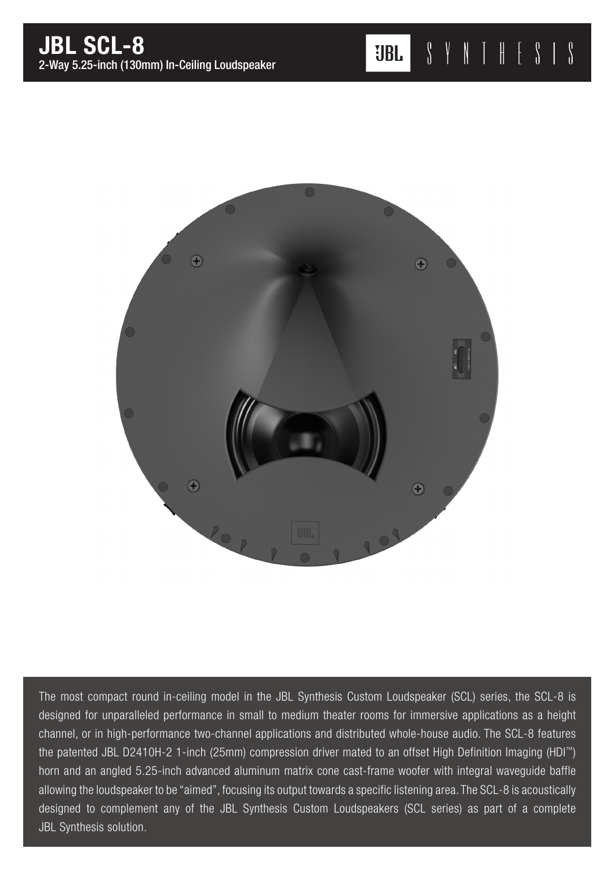

The most compact round in-ceiling model in the JBL Synthesis Custom Loudspeaker (SCL) series, the SCL-8 is designed for unparalleled performance in small to medium theater rooms for immersive applications as a height channel, or in high-performance two-channel applications and distributed whole-house audio. The SCL-8 features the patented JBL D2410H-2 1-inch (25mm) compression driver mated to an offset High Definition Imaging (HDI™) horn and an angled 5.25-inch advanced aluminum matrix cone cast-frame woofer with integral waveguide baffle allowing the loudspeaker to be "aimed", focusing its output towards a specific listening area. The SCL-8 is acoustically designed to complement any of the JBL Synthesis Custom Loudspeakers (SCL series) as part of a complete JBL Synthesis solution.